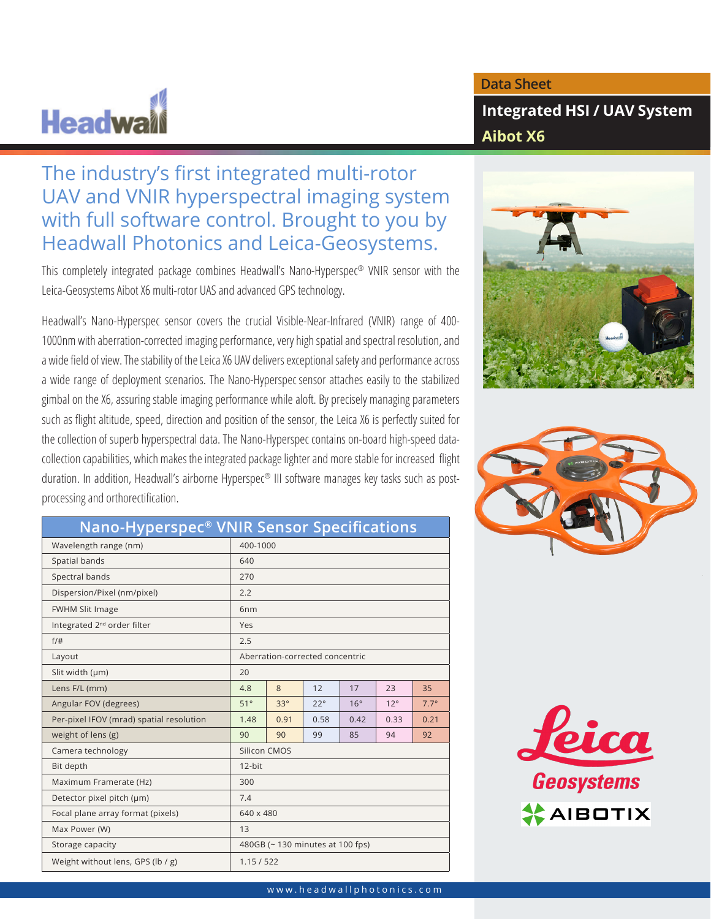## **Headwa**

## **Data Sheet**

**Integrated HSI / UAV System Aibot X6**

## The industry's first integrated multi-rotor UAV and VNIR hyperspectral imaging system with full software control. Brought to you by Headwall Photonics and Leica-Geosystems.

This completely integrated package combines Headwall's Nano-Hyperspec® VNIR sensor with the Leica-Geosystems Aibot X6 multi-rotor UAS and advanced GPS technology.

Headwall's Nano-Hyperspec sensor covers the crucial Visible-Near-Infrared (VNIR) range of 400- 1000nm with aberration-corrected imaging performance, very high spatial and spectral resolution, and a wide field of view. The stability of the Leica X6 UAV delivers exceptional safety and performance across a wide range of deployment scenarios. The Nano-Hyperspec sensor attaches easily to the stabilized gimbal on the X6, assuring stable imaging performance while aloft. By precisely managing parameters such as flight altitude, speed, direction and position of the sensor, the Leica X6 is perfectly suited for the collection of superb hyperspectral data. The Nano-Hyperspec contains on-board high-speed datacollection capabilities, which makes the integrated package lighter and more stable for increased flight duration. In addition, Headwall's airborne Hyperspec® III software manages key tasks such as postprocessing and orthorectification.





| _______________                          |                                 |            |              |            |              |             |
|------------------------------------------|---------------------------------|------------|--------------|------------|--------------|-------------|
| Wavelength range (nm)                    | 400-1000                        |            |              |            |              |             |
| Spatial bands                            | 640                             |            |              |            |              |             |
| Spectral bands                           | 270                             |            |              |            |              |             |
| Dispersion/Pixel (nm/pixel)              | 2.2                             |            |              |            |              |             |
| <b>FWHM Slit Image</b>                   | 6 <sub>nm</sub>                 |            |              |            |              |             |
| Integrated 2 <sup>nd</sup> order filter  | Yes                             |            |              |            |              |             |
| $f/\#$                                   | 2.5                             |            |              |            |              |             |
| Layout                                   | Aberration-corrected concentric |            |              |            |              |             |
| Slit width (µm)                          | 20                              |            |              |            |              |             |
| Lens F/L (mm)                            | 4.8                             | 8          | 12           | 17         | 23           | 35          |
| Angular FOV (degrees)                    | 51°                             | $33^\circ$ | $22^{\circ}$ | $16^\circ$ | $12^{\circ}$ | $7.7^\circ$ |
| Per-pixel IFOV (mrad) spatial resolution | 1.48                            | 0.91       | 0.58         | 0.42       | 0.33         | 0.21        |
| weight of lens (g)                       | 90                              | 90         | 99           | 85         | 94           | 92          |
| Camera technology                        | Silicon CMOS                    |            |              |            |              |             |
| Bit depth                                | 12-bit                          |            |              |            |              |             |
| Maximum Framerate (Hz)                   | 300                             |            |              |            |              |             |
| Detector pixel pitch (µm)                | 7.4                             |            |              |            |              |             |
| Focal plane array format (pixels)        | 640 x 480                       |            |              |            |              |             |
| Max Power (W)                            | 13                              |            |              |            |              |             |
| Storage capacity                         | 480GB (~130 minutes at 100 fps) |            |              |            |              |             |
| Weight without lens, GPS (lb / g)        | 1.15/522                        |            |              |            |              |             |

## **Nano-Hyperspec® VNIR Sensor Specifications**